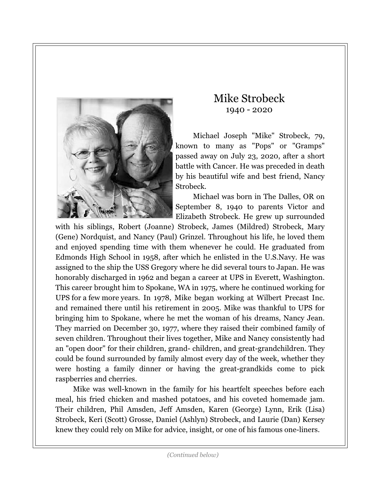

## Mike Strobeck 1940 - 2020

Michael Joseph "Mike" Strobeck, 79, known to many as "Pops" or "Gramps" passed away on July 23, 2020, after a short battle with Cancer. He was preceded in death by his beautiful wife and best friend, Nancy Strobeck.

Michael was born in The Dalles, OR on September 8, 1940 to parents Victor and Elizabeth Strobeck. He grew up surrounded

with his siblings, Robert (Joanne) Strobeck, James (Mildred) Strobeck, Mary (Gene) Nordquist, and Nancy (Paul) Grinzel. Throughout his life, he loved them and enjoyed spending time with them whenever he could. He graduated from Edmonds High School in 1958, after which he enlisted in the U.S.Navy. He was assigned to the ship the USS Gregory where he did several tours to Japan. He was honorably discharged in 1962 and began a career at UPS in Everett, Washington. This career brought him to Spokane, WA in 1975, where he continued working for UPS for a few more years. In 1978, Mike began working at Wilbert Precast Inc. and remained there until his retirement in 2005. Mike was thankful to UPS for bringing him to Spokane, where he met the woman of his dreams, Nancy Jean. They married on December 30, 1977, where they raised their combined family of seven children. Throughout their lives together, Mike and Nancy consistently had an "open door" for their children, grand- children, and great-grandchildren. They could be found surrounded by family almost every day of the week, whether they were hosting a family dinner or having the great-grandkids come to pick raspberries and cherries.

Mike was well-known in the family for his heartfelt speeches before each meal, his fried chicken and mashed potatoes, and his coveted homemade jam. Their children, Phil Amsden, Jeff Amsden, Karen (George) Lynn, Erik (Lisa) Strobeck, Keri (Scott) Grosse, Daniel (Ashlyn) Strobeck, and Laurie (Dan) Kersey knew they could rely on Mike for advice, insight, or one of his famous one-liners.